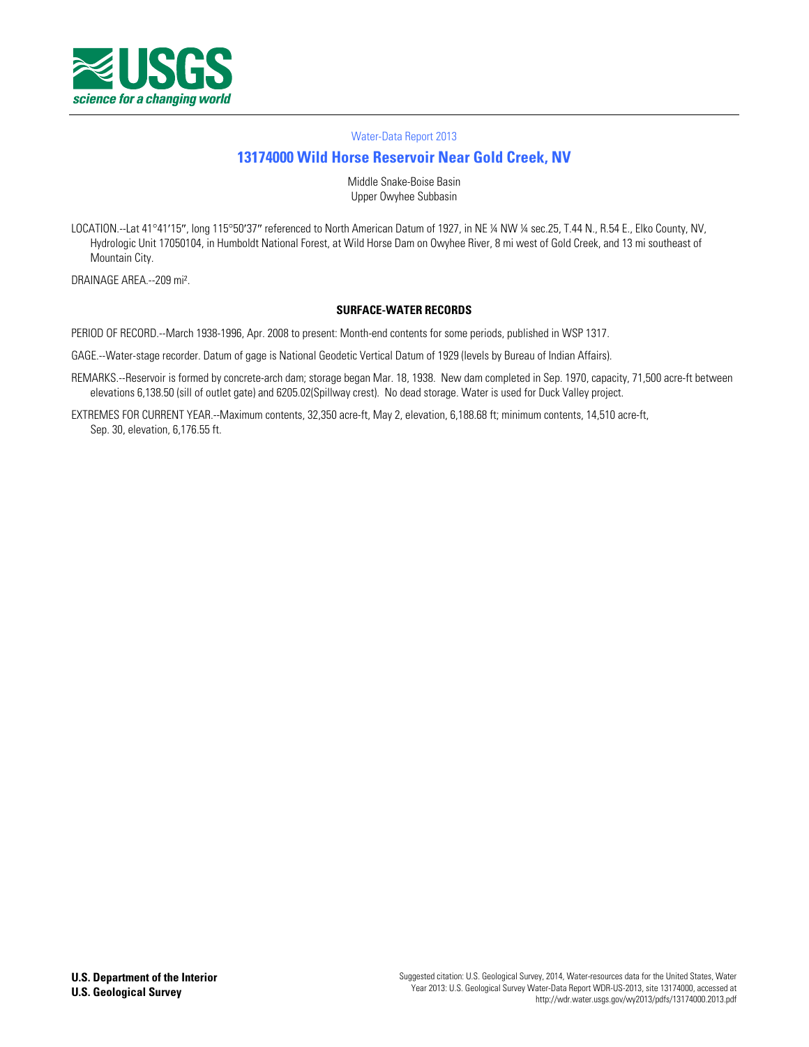

#### [Water-Data Report 2013](http://wdr.water.usgs.gov/)

# **[13174000 Wild Horse Reservoir](http://waterdata.usgs.gov/nwis/nwisman/?site_no=13174000) Near Gold Creek, NV**

Middle Snake-Boise Basin Upper Owyhee Subbasin

LOCATION.--Lat 41°41′15″, long 115°50′37″ referenced to North American Datum of 1927, in NE ¼ NW ¼ sec.25, T.44 N., R.54 E., Elko County, NV, Hydrologic Unit 17050104, in Humboldt National Forest, at Wild Horse Dam on Owyhee River, 8 mi west of Gold Creek, and 13 mi southeast of Mountain City.

DRAINAGE AREA.--209 mi².

#### **SURFACE-WATER RECORDS**

PERIOD OF RECORD.--March 1938-1996, Apr. 2008 to present: Month-end contents for some periods, published in WSP 1317.

GAGE.--Water-stage recorder. Datum of gage is National Geodetic Vertical Datum of 1929 (levels by Bureau of Indian Affairs).

- REMARKS.--Reservoir is formed by concrete-arch dam; storage began Mar. 18, 1938. New dam completed in Sep. 1970, capacity, 71,500 acre-ft between elevations 6,138.50 (sill of outlet gate) and 6205.02(Spillway crest). No dead storage. Water is used for Duck Valley project.
- EXTREMES FOR CURRENT YEAR.--Maximum contents, 32,350 acre-ft, May 2, elevation, 6,188.68 ft; minimum contents, 14,510 acre-ft, Sep. 30, elevation, 6,176.55 ft.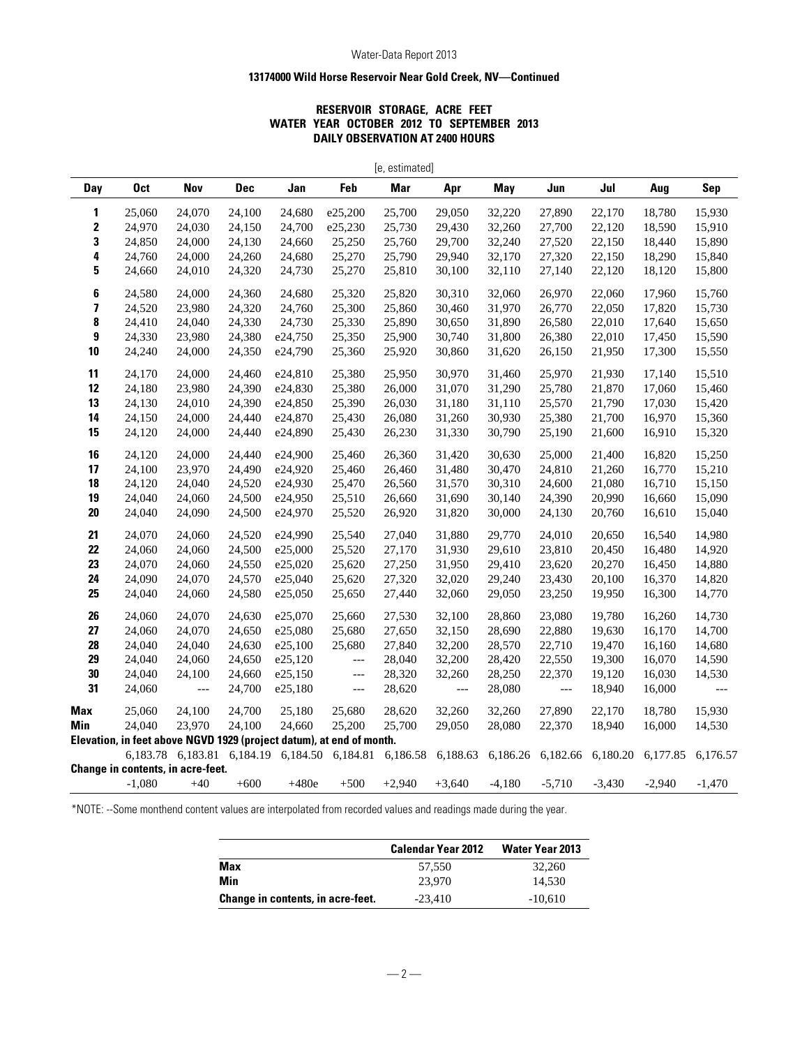### Water-Data Report 2013

### **13174000 Wild Horse Reservoir Near Gold Creek, NV—Continued**

## **RESERVOIR STORAGE, ACRE FEET WATER YEAR OCTOBER 2012 TO SEPTEMBER 2013 DAILY OBSERVATION AT 2400 HOURS**

| [e, estimated]          |                                                                      |                            |            |          |                                   |          |                          |          |                          |          |          |                          |
|-------------------------|----------------------------------------------------------------------|----------------------------|------------|----------|-----------------------------------|----------|--------------------------|----------|--------------------------|----------|----------|--------------------------|
| Day                     | <b>Oct</b>                                                           | Nov                        | <b>Dec</b> | Jan      | Feb                               | Mar      | Apr                      | May      | Jun                      | Jul      | Aug      | <b>Sep</b>               |
| 1                       | 25,060                                                               | 24,070                     | 24,100     | 24,680   | e25,200                           | 25,700   | 29,050                   | 32,220   | 27,890                   | 22,170   | 18,780   | 15,930                   |
| 2                       | 24,970                                                               | 24,030                     | 24,150     | 24,700   | e25,230                           | 25,730   | 29,430                   | 32,260   | 27,700                   | 22,120   | 18,590   | 15,910                   |
| 3                       | 24,850                                                               | 24,000                     | 24,130     | 24,660   | 25,250                            | 25,760   | 29,700                   | 32,240   | 27,520                   | 22,150   | 18,440   | 15,890                   |
| 4                       | 24,760                                                               | 24,000                     | 24,260     | 24,680   | 25,270                            | 25,790   | 29,940                   | 32,170   | 27,320                   | 22,150   | 18,290   | 15,840                   |
| 5                       | 24,660                                                               | 24,010                     | 24,320     | 24,730   | 25,270                            | 25,810   | 30,100                   | 32,110   | 27,140                   | 22,120   | 18,120   | 15,800                   |
| 6                       | 24,580                                                               | 24,000                     | 24,360     | 24,680   | 25,320                            | 25,820   | 30,310                   | 32,060   | 26,970                   | 22,060   | 17,960   | 15,760                   |
| $\overline{\mathbf{z}}$ | 24,520                                                               | 23,980                     | 24,320     | 24,760   | 25,300                            | 25,860   | 30,460                   | 31,970   | 26,770                   | 22,050   | 17,820   | 15,730                   |
| 8                       | 24,410                                                               | 24,040                     | 24,330     | 24,730   | 25,330                            | 25,890   | 30,650                   | 31,890   | 26,580                   | 22,010   | 17,640   | 15,650                   |
| 9                       | 24,330                                                               | 23,980                     | 24,380     | e24,750  | 25,350                            | 25,900   | 30,740                   | 31,800   | 26,380                   | 22,010   | 17,450   | 15,590                   |
| 10                      | 24,240                                                               | 24,000                     | 24,350     | e24,790  | 25,360                            | 25,920   | 30,860                   | 31,620   | 26,150                   | 21,950   | 17,300   | 15,550                   |
| 11                      | 24,170                                                               | 24,000                     | 24,460     | e24,810  | 25,380                            | 25,950   | 30,970                   | 31,460   | 25,970                   | 21,930   | 17,140   | 15,510                   |
| 12                      | 24,180                                                               | 23,980                     | 24,390     | e24,830  | 25,380                            | 26,000   | 31,070                   | 31,290   | 25,780                   | 21,870   | 17,060   | 15,460                   |
| 13                      | 24,130                                                               | 24,010                     | 24,390     | e24,850  | 25,390                            | 26,030   | 31,180                   | 31,110   | 25,570                   | 21,790   | 17,030   | 15,420                   |
| 14                      | 24,150                                                               | 24,000                     | 24,440     | e24,870  | 25,430                            | 26,080   | 31,260                   | 30,930   | 25,380                   | 21,700   | 16,970   | 15,360                   |
| 15                      | 24,120                                                               | 24,000                     | 24,440     | e24,890  | 25,430                            | 26,230   | 31,330                   | 30,790   | 25,190                   | 21,600   | 16,910   | 15,320                   |
| 16                      | 24,120                                                               | 24,000                     | 24,440     | e24,900  | 25,460                            | 26,360   | 31,420                   | 30,630   | 25,000                   | 21,400   | 16,820   | 15,250                   |
| 17                      | 24,100                                                               | 23,970                     | 24,490     | e24,920  | 25,460                            | 26,460   | 31,480                   | 30,470   | 24,810                   | 21,260   | 16,770   | 15,210                   |
| 18                      | 24,120                                                               | 24,040                     | 24,520     | e24,930  | 25,470                            | 26,560   | 31,570                   | 30,310   | 24,600                   | 21,080   | 16,710   | 15,150                   |
| 19                      | 24,040                                                               | 24,060                     | 24,500     | e24,950  | 25,510                            | 26,660   | 31,690                   | 30,140   | 24,390                   | 20,990   | 16,660   | 15,090                   |
| 20                      | 24,040                                                               | 24,090                     | 24,500     | e24,970  | 25,520                            | 26,920   | 31,820                   | 30,000   | 24,130                   | 20,760   | 16,610   | 15,040                   |
| 21                      | 24,070                                                               | 24,060                     | 24,520     | e24,990  | 25,540                            | 27,040   | 31,880                   | 29,770   | 24,010                   | 20,650   | 16,540   | 14,980                   |
| 22                      | 24,060                                                               | 24,060                     | 24,500     | e25,000  | 25,520                            | 27,170   | 31,930                   | 29,610   | 23,810                   | 20,450   | 16,480   | 14,920                   |
| 23                      | 24,070                                                               | 24,060                     | 24,550     | e25,020  | 25,620                            | 27,250   | 31,950                   | 29,410   | 23,620                   | 20,270   | 16,450   | 14,880                   |
| 24                      | 24,090                                                               | 24,070                     | 24,570     | e25,040  | 25,620                            | 27,320   | 32,020                   | 29,240   | 23,430                   | 20,100   | 16,370   | 14,820                   |
| 25                      | 24,040                                                               | 24,060                     | 24,580     | e25,050  | 25,650                            | 27,440   | 32,060                   | 29,050   | 23,250                   | 19,950   | 16,300   | 14,770                   |
| 26                      | 24,060                                                               | 24,070                     | 24,630     | e25,070  | 25,660                            | 27,530   | 32,100                   | 28,860   | 23,080                   | 19,780   | 16,260   | 14,730                   |
| 27                      | 24,060                                                               | 24,070                     | 24,650     | e25,080  | 25,680                            | 27,650   | 32,150                   | 28,690   | 22,880                   | 19,630   | 16,170   | 14,700                   |
| 28                      | 24,040                                                               | 24,040                     | 24,630     | e25,100  | 25,680                            | 27,840   | 32,200                   | 28,570   | 22,710                   | 19,470   | 16,160   | 14,680                   |
| 29                      | 24,040                                                               | 24,060                     | 24,650     | e25,120  | $\overline{\phantom{a}}$          | 28,040   | 32,200                   | 28,420   | 22,550                   | 19,300   | 16,070   | 14,590                   |
| 30                      | 24,040                                                               | 24,100                     | 24,660     | e25,150  | $---$                             | 28,320   | 32,260                   | 28,250   | 22,370                   | 19,120   | 16,030   | 14,530                   |
| 31                      | 24,060                                                               | ---                        | 24,700     | e25,180  | $\hspace{0.05cm} \dashrightarrow$ | 28,620   | $\overline{\phantom{a}}$ | 28,080   | $\overline{\phantom{a}}$ | 18,940   | 16,000   | $\overline{\phantom{a}}$ |
| <b>Max</b>              | 25,060                                                               | 24,100                     | 24,700     | 25,180   | 25,680                            | 28,620   | 32,260                   | 32,260   | 27,890                   | 22,170   | 18,780   | 15,930                   |
| Min                     | 24,040                                                               | 23,970                     | 24,100     | 24,660   | 25,200                            | 25,700   | 29,050                   | 28,080   | 22,370                   | 18,940   | 16,000   | 14,530                   |
|                         | Elevation, in feet above NGVD 1929 (project datum), at end of month. |                            |            |          |                                   |          |                          |          |                          |          |          |                          |
|                         |                                                                      | 6,183.78 6,183.81 6,184.19 |            | 6,184.50 | 6,184.81                          |          | 6,186.58 6,188.63        | 6,186.26 | 6,182.66                 | 6,180.20 | 6,177.85 | 6,176.57                 |
|                         | <b>Change in contents, in acre-feet.</b>                             |                            |            |          |                                   |          |                          |          |                          |          |          |                          |
|                         | $-1,080$                                                             | $+40$                      | $+600$     | $+480e$  | $+500$                            | $+2,940$ | $+3,640$                 | $-4,180$ | $-5,710$                 | $-3,430$ | $-2,940$ | $-1,470$                 |

\*NOTE: --Some monthend content values are interpolated from recorded values and readings made during the year.

|                                   | <b>Calendar Year 2012</b> | <b>Water Year 2013</b> |
|-----------------------------------|---------------------------|------------------------|
| <b>Max</b>                        | 57,550                    | 32,260                 |
| Min                               | 23,970                    | 14.530                 |
| Change in contents, in acre-feet. | $-23.410$                 | $-10.610$              |